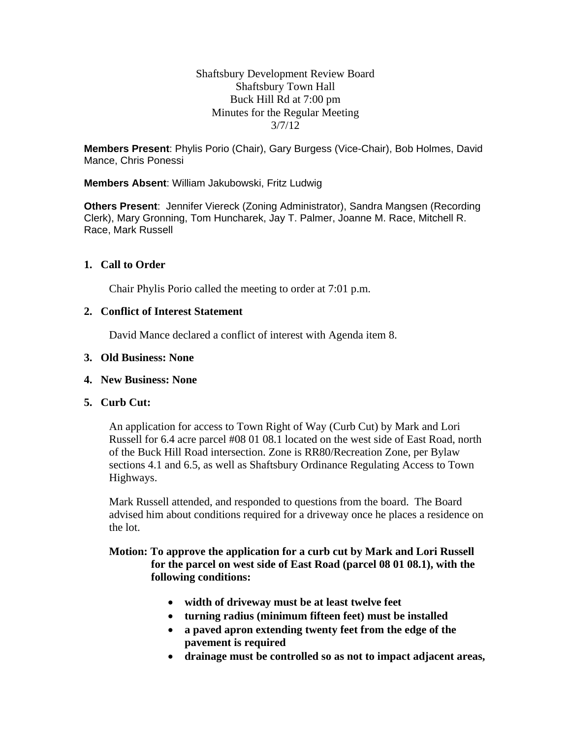Shaftsbury Development Review Board Shaftsbury Town Hall Buck Hill Rd at 7:00 pm Minutes for the Regular Meeting 3/7/12

**Members Present**: Phylis Porio (Chair), Gary Burgess (Vice-Chair), Bob Holmes, David Mance, Chris Ponessi

## **Members Absent**: William Jakubowski, Fritz Ludwig

**Others Present**: Jennifer Viereck (Zoning Administrator), Sandra Mangsen (Recording Clerk), Mary Gronning, Tom Huncharek, Jay T. Palmer, Joanne M. Race, Mitchell R. Race, Mark Russell

## **1. Call to Order**

Chair Phylis Porio called the meeting to order at 7:01 p.m.

### **2. Conflict of Interest Statement**

David Mance declared a conflict of interest with Agenda item 8.

#### **3. Old Business: None**

#### **4. New Business: None**

## **5. Curb Cut:**

An application for access to Town Right of Way (Curb Cut) by Mark and Lori Russell for 6.4 acre parcel #08 01 08.1 located on the west side of East Road, north of the Buck Hill Road intersection. Zone is RR80/Recreation Zone, per Bylaw sections 4.1 and 6.5, as well as Shaftsbury Ordinance Regulating Access to Town Highways.

Mark Russell attended, and responded to questions from the board. The Board advised him about conditions required for a driveway once he places a residence on the lot.

# **Motion: To approve the application for a curb cut by Mark and Lori Russell for the parcel on west side of East Road (parcel 08 01 08.1), with the following conditions:**

- **width of driveway must be at least twelve feet**
- **turning radius (minimum fifteen feet) must be installed**
- **a paved apron extending twenty feet from the edge of the pavement is required**
- **drainage must be controlled so as not to impact adjacent areas,**